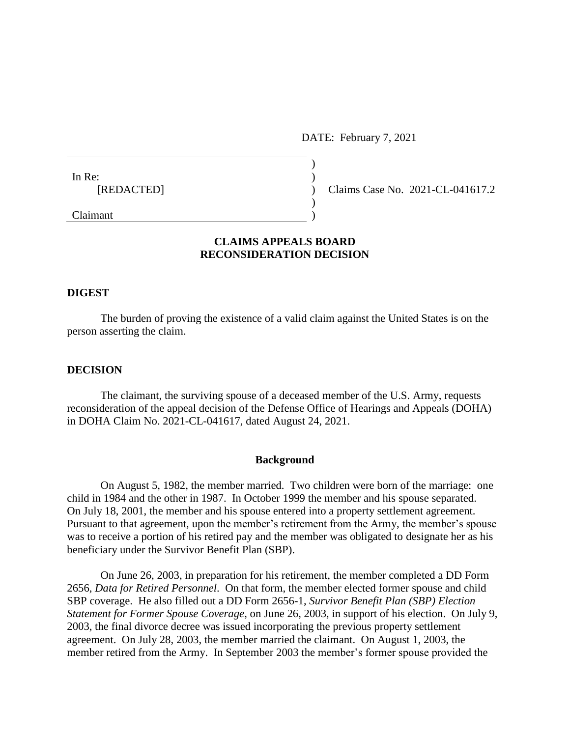DATE: February 7, 2021

| In Re:     |  |
|------------|--|
| [REDACTED] |  |
|            |  |
| Claimant   |  |

Claims Case No. 2021-CL-041617.2

# **CLAIMS APPEALS BOARD RECONSIDERATION DECISION**

## **DIGEST**

The burden of proving the existence of a valid claim against the United States is on the person asserting the claim.

## **DECISION**

The claimant, the surviving spouse of a deceased member of the U.S. Army, requests reconsideration of the appeal decision of the Defense Office of Hearings and Appeals (DOHA) in DOHA Claim No. 2021-CL-041617, dated August 24, 2021.

### **Background**

On August 5, 1982, the member married. Two children were born of the marriage: one child in 1984 and the other in 1987. In October 1999 the member and his spouse separated. On July 18, 2001, the member and his spouse entered into a property settlement agreement. Pursuant to that agreement, upon the member's retirement from the Army, the member's spouse was to receive a portion of his retired pay and the member was obligated to designate her as his beneficiary under the Survivor Benefit Plan (SBP).

On June 26, 2003, in preparation for his retirement, the member completed a DD Form 2656, *Data for Retired Personnel*. On that form, the member elected former spouse and child SBP coverage. He also filled out a DD Form 2656-1, *Survivor Benefit Plan (SBP) Election Statement for Former Spouse Coverage*, on June 26, 2003, in support of his election. On July 9, 2003, the final divorce decree was issued incorporating the previous property settlement agreement. On July 28, 2003, the member married the claimant. On August 1, 2003, the member retired from the Army. In September 2003 the member's former spouse provided the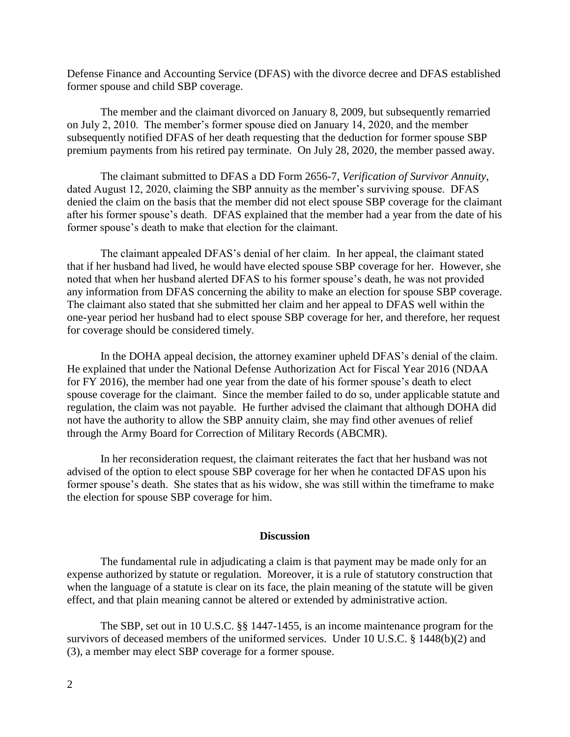Defense Finance and Accounting Service (DFAS) with the divorce decree and DFAS established former spouse and child SBP coverage.

The member and the claimant divorced on January 8, 2009, but subsequently remarried on July 2, 2010. The member's former spouse died on January 14, 2020, and the member subsequently notified DFAS of her death requesting that the deduction for former spouse SBP premium payments from his retired pay terminate. On July 28, 2020, the member passed away.

The claimant submitted to DFAS a DD Form 2656-7, *Verification of Survivor Annuity*, dated August 12, 2020, claiming the SBP annuity as the member's surviving spouse. DFAS denied the claim on the basis that the member did not elect spouse SBP coverage for the claimant after his former spouse's death. DFAS explained that the member had a year from the date of his former spouse's death to make that election for the claimant.

The claimant appealed DFAS's denial of her claim. In her appeal, the claimant stated that if her husband had lived, he would have elected spouse SBP coverage for her. However, she noted that when her husband alerted DFAS to his former spouse's death, he was not provided any information from DFAS concerning the ability to make an election for spouse SBP coverage. The claimant also stated that she submitted her claim and her appeal to DFAS well within the one-year period her husband had to elect spouse SBP coverage for her, and therefore, her request for coverage should be considered timely.

In the DOHA appeal decision, the attorney examiner upheld DFAS's denial of the claim. He explained that under the National Defense Authorization Act for Fiscal Year 2016 (NDAA for FY 2016), the member had one year from the date of his former spouse's death to elect spouse coverage for the claimant. Since the member failed to do so, under applicable statute and regulation, the claim was not payable. He further advised the claimant that although DOHA did not have the authority to allow the SBP annuity claim, she may find other avenues of relief through the Army Board for Correction of Military Records (ABCMR).

In her reconsideration request, the claimant reiterates the fact that her husband was not advised of the option to elect spouse SBP coverage for her when he contacted DFAS upon his former spouse's death. She states that as his widow, she was still within the timeframe to make the election for spouse SBP coverage for him.

#### **Discussion**

The fundamental rule in adjudicating a claim is that payment may be made only for an expense authorized by statute or regulation. Moreover, it is a rule of statutory construction that when the language of a statute is clear on its face, the plain meaning of the statute will be given effect, and that plain meaning cannot be altered or extended by administrative action.

The SBP, set out in 10 U.S.C. §§ 1447-1455, is an income maintenance program for the survivors of deceased members of the uniformed services. Under 10 U.S.C. § 1448(b)(2) and (3), a member may elect SBP coverage for a former spouse.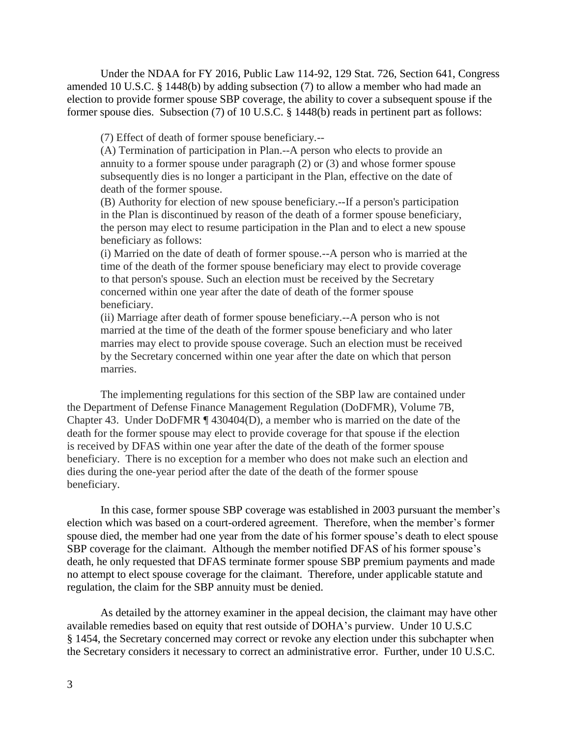Under the NDAA for FY 2016, Public Law 114-92, 129 Stat. 726, Section 641, Congress amended 10 U.S.C. § 1448(b) by adding subsection (7) to allow a member who had made an election to provide former spouse SBP coverage, the ability to cover a subsequent spouse if the former spouse dies. Subsection (7) of 10 U.S.C. § 1448(b) reads in pertinent part as follows:

(7) Effect of death of former spouse beneficiary.--

(A) Termination of participation in Plan.--A person who elects to provide an annuity to a former spouse under paragraph (2) or (3) and whose former spouse subsequently dies is no longer a participant in the Plan, effective on the date of death of the former spouse.

(B) Authority for election of new spouse beneficiary.--If a person's participation in the Plan is discontinued by reason of the death of a former spouse beneficiary, the person may elect to resume participation in the Plan and to elect a new spouse beneficiary as follows:

(i) Married on the date of death of former spouse.--A person who is married at the time of the death of the former spouse beneficiary may elect to provide coverage to that person's spouse. Such an election must be received by the Secretary concerned within one year after the date of death of the former spouse beneficiary.

(ii) Marriage after death of former spouse beneficiary.--A person who is not married at the time of the death of the former spouse beneficiary and who later marries may elect to provide spouse coverage. Such an election must be received by the Secretary concerned within one year after the date on which that person marries.

The implementing regulations for this section of the SBP law are contained under the Department of Defense Finance Management Regulation (DoDFMR), Volume 7B, Chapter 43. Under DoDFMR ¶ 430404(D), a member who is married on the date of the death for the former spouse may elect to provide coverage for that spouse if the election is received by DFAS within one year after the date of the death of the former spouse beneficiary. There is no exception for a member who does not make such an election and dies during the one-year period after the date of the death of the former spouse beneficiary.

In this case, former spouse SBP coverage was established in 2003 pursuant the member's election which was based on a court-ordered agreement. Therefore, when the member's former spouse died, the member had one year from the date of his former spouse's death to elect spouse SBP coverage for the claimant. Although the member notified DFAS of his former spouse's death, he only requested that DFAS terminate former spouse SBP premium payments and made no attempt to elect spouse coverage for the claimant. Therefore, under applicable statute and regulation, the claim for the SBP annuity must be denied.

As detailed by the attorney examiner in the appeal decision, the claimant may have other available remedies based on equity that rest outside of DOHA's purview. Under 10 U.S.C § 1454, the Secretary concerned may correct or revoke any election under this subchapter when the Secretary considers it necessary to correct an administrative error. Further, under 10 U.S.C.